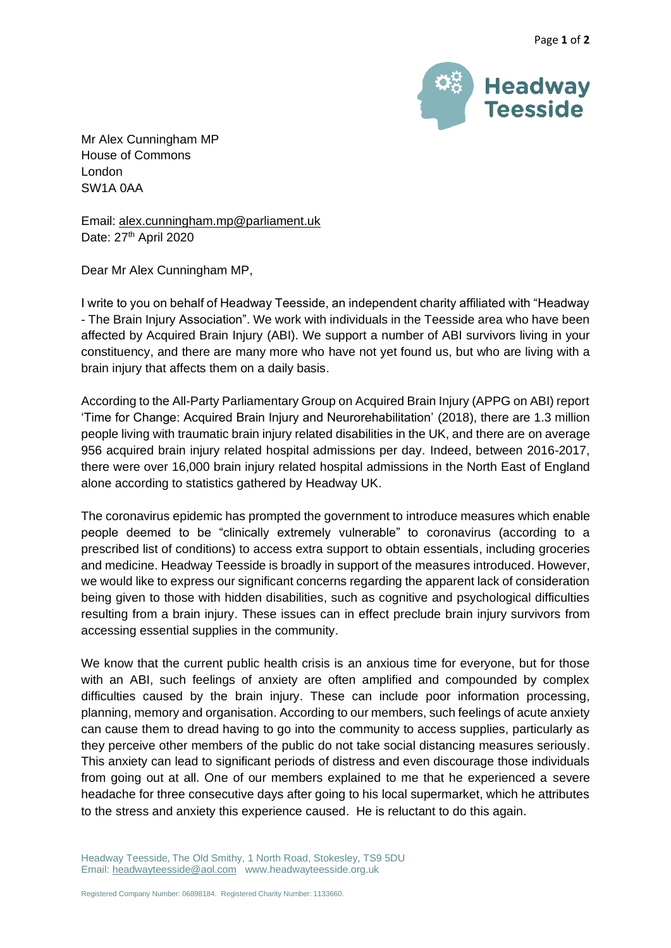

Mr Alex Cunningham MP House of Commons London SW1A 0AA

Email: [alex.cunningham.mp@parliament.uk](mailto:alex.cunningham.mp@parliament.uk) Date: 27<sup>th</sup> April 2020

Dear Mr Alex Cunningham MP,

I write to you on behalf of Headway Teesside, an independent charity affiliated with "Headway - The Brain Injury Association". We work with individuals in the Teesside area who have been affected by Acquired Brain Injury (ABI). We support a number of ABI survivors living in your constituency, and there are many more who have not yet found us, but who are living with a brain injury that affects them on a daily basis.

According to the All-Party Parliamentary Group on Acquired Brain Injury (APPG on ABI) report 'Time for Change: Acquired Brain Injury and Neurorehabilitation' (2018), there are 1.3 million people living with traumatic brain injury related disabilities in the UK, and there are on average 956 acquired brain injury related hospital admissions per day. Indeed, between 2016-2017, there were over 16,000 brain injury related hospital admissions in the North East of England alone according to statistics gathered by Headway UK.

The coronavirus epidemic has prompted the government to introduce measures which enable people deemed to be "clinically extremely vulnerable" to coronavirus (according to a prescribed list of conditions) to access extra support to obtain essentials, including groceries and medicine. Headway Teesside is broadly in support of the measures introduced. However, we would like to express our significant concerns regarding the apparent lack of consideration being given to those with hidden disabilities, such as cognitive and psychological difficulties resulting from a brain injury. These issues can in effect preclude brain injury survivors from accessing essential supplies in the community.

We know that the current public health crisis is an anxious time for everyone, but for those with an ABI, such feelings of anxiety are often amplified and compounded by complex difficulties caused by the brain injury. These can include poor information processing, planning, memory and organisation. According to our members, such feelings of acute anxiety can cause them to dread having to go into the community to access supplies, particularly as they perceive other members of the public do not take social distancing measures seriously. This anxiety can lead to significant periods of distress and even discourage those individuals from going out at all. One of our members explained to me that he experienced a severe headache for three consecutive days after going to his local supermarket, which he attributes to the stress and anxiety this experience caused. He is reluctant to do this again.

Headway Teesside, The Old Smithy, 1 North Road, Stokesley, TS9 5DU Email[: headwayteesside@aol.com](mailto:headwayteesside@aol.com) www.headwayteesside.org.uk